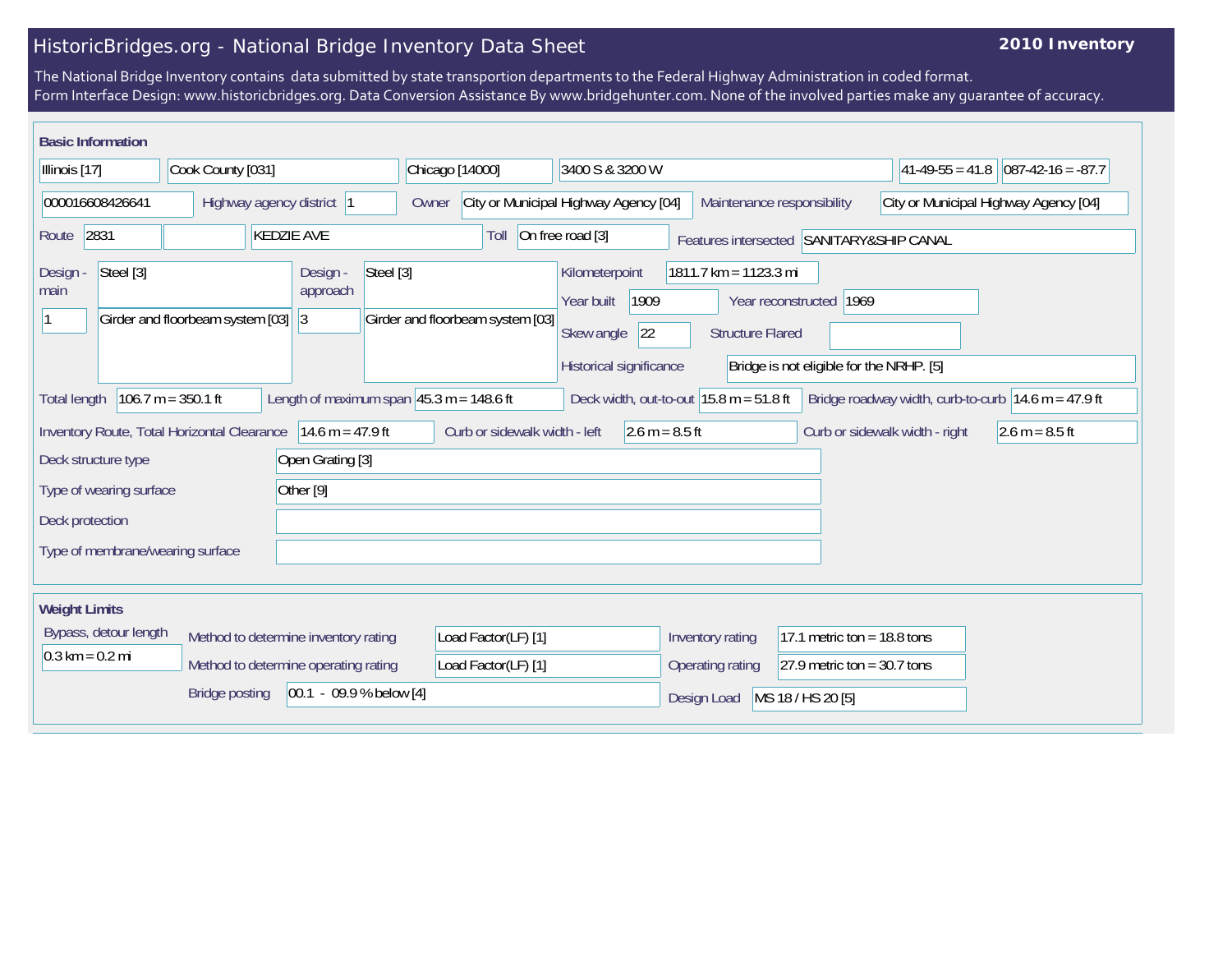## HistoricBridges.org - National Bridge Inventory Data Sheet

## **2010 Inventory**

The National Bridge Inventory contains data submitted by state transportion departments to the Federal Highway Administration in coded format. Form Interface Design: www.historicbridges.org. Data Conversion Assistance By www.bridgehunter.com. None of the involved parties make any guarantee of accuracy.

| <b>Basic Information</b>          |                                                                                                                                                                                                                                      |                                  |                                                                                                                                                                                                                   |                                                       |  |  |  |
|-----------------------------------|--------------------------------------------------------------------------------------------------------------------------------------------------------------------------------------------------------------------------------------|----------------------------------|-------------------------------------------------------------------------------------------------------------------------------------------------------------------------------------------------------------------|-------------------------------------------------------|--|--|--|
| Illinois [17]                     | Cook County [031]                                                                                                                                                                                                                    | Chicago [14000]                  | 3400 S & 3200 W                                                                                                                                                                                                   | $ 41-49-55=41.8 $<br>$ 087-42-16 = -87.7$             |  |  |  |
| 000016608426641                   | Highway agency district  1                                                                                                                                                                                                           | Owner                            | City or Municipal Highway Agency [04]<br>Maintenance responsibility                                                                                                                                               | City or Municipal Highway Agency [04]                 |  |  |  |
| 2831<br>Route                     | <b>KEDZIE AVE</b>                                                                                                                                                                                                                    | Toll                             | On free road [3]<br>Features intersected SANITARY&SHIP CANAL                                                                                                                                                      |                                                       |  |  |  |
| Steel [3]<br>Design<br>main       | Steel [3]<br>Design -<br>approach<br>Girder and floorbeam system [03]<br> 3                                                                                                                                                          | Girder and floorbeam system [03] | Kilometerpoint<br>1811.7 km = 1123.3 mi<br>1909<br>Year built<br>1969<br>Year reconstructed<br>Skew angle<br>22<br><b>Structure Flared</b><br>Historical significance<br>Bridge is not eligible for the NRHP. [5] |                                                       |  |  |  |
| <b>Total length</b>               | $106.7 m = 350.1 ft$<br>Length of maximum span $ 45.3 \text{ m} = 148.6 \text{ ft}$                                                                                                                                                  |                                  | Deck width, out-to-out $15.8$ m = 51.8 ft                                                                                                                                                                         | Bridge roadway width, curb-to-curb $14.6$ m = 47.9 ft |  |  |  |
|                                   | $14.6 m = 47.9 ft$<br>Curb or sidewalk width - left<br>2.6 m = $8.5$ ft<br>Curb or sidewalk width - right<br>Inventory Route, Total Horizontal Clearance<br>$2.6 m = 8.5 ft$                                                         |                                  |                                                                                                                                                                                                                   |                                                       |  |  |  |
| Deck structure type               | Open Grating [3]                                                                                                                                                                                                                     |                                  |                                                                                                                                                                                                                   |                                                       |  |  |  |
| Type of wearing surface           | Other [9]                                                                                                                                                                                                                            |                                  |                                                                                                                                                                                                                   |                                                       |  |  |  |
| Deck protection                   |                                                                                                                                                                                                                                      |                                  |                                                                                                                                                                                                                   |                                                       |  |  |  |
| Type of membrane/wearing surface  |                                                                                                                                                                                                                                      |                                  |                                                                                                                                                                                                                   |                                                       |  |  |  |
| <b>Weight Limits</b>              |                                                                                                                                                                                                                                      |                                  |                                                                                                                                                                                                                   |                                                       |  |  |  |
| Bypass, detour length             | 17.1 metric ton = $18.8$ tons<br>Method to determine inventory rating<br>Load Factor(LF) [1]<br>Inventory rating<br>Method to determine operating rating<br>Load Factor(LF) [1]<br>Operating rating<br>27.9 metric ton = $30.7$ tons |                                  |                                                                                                                                                                                                                   |                                                       |  |  |  |
| $0.3 \text{ km} = 0.2 \text{ mi}$ |                                                                                                                                                                                                                                      |                                  |                                                                                                                                                                                                                   |                                                       |  |  |  |
|                                   | $[00.1 - 09.9 %$ below [4]<br><b>Bridge posting</b>                                                                                                                                                                                  |                                  | Design Load<br>MS 18 / HS 20 [5]                                                                                                                                                                                  |                                                       |  |  |  |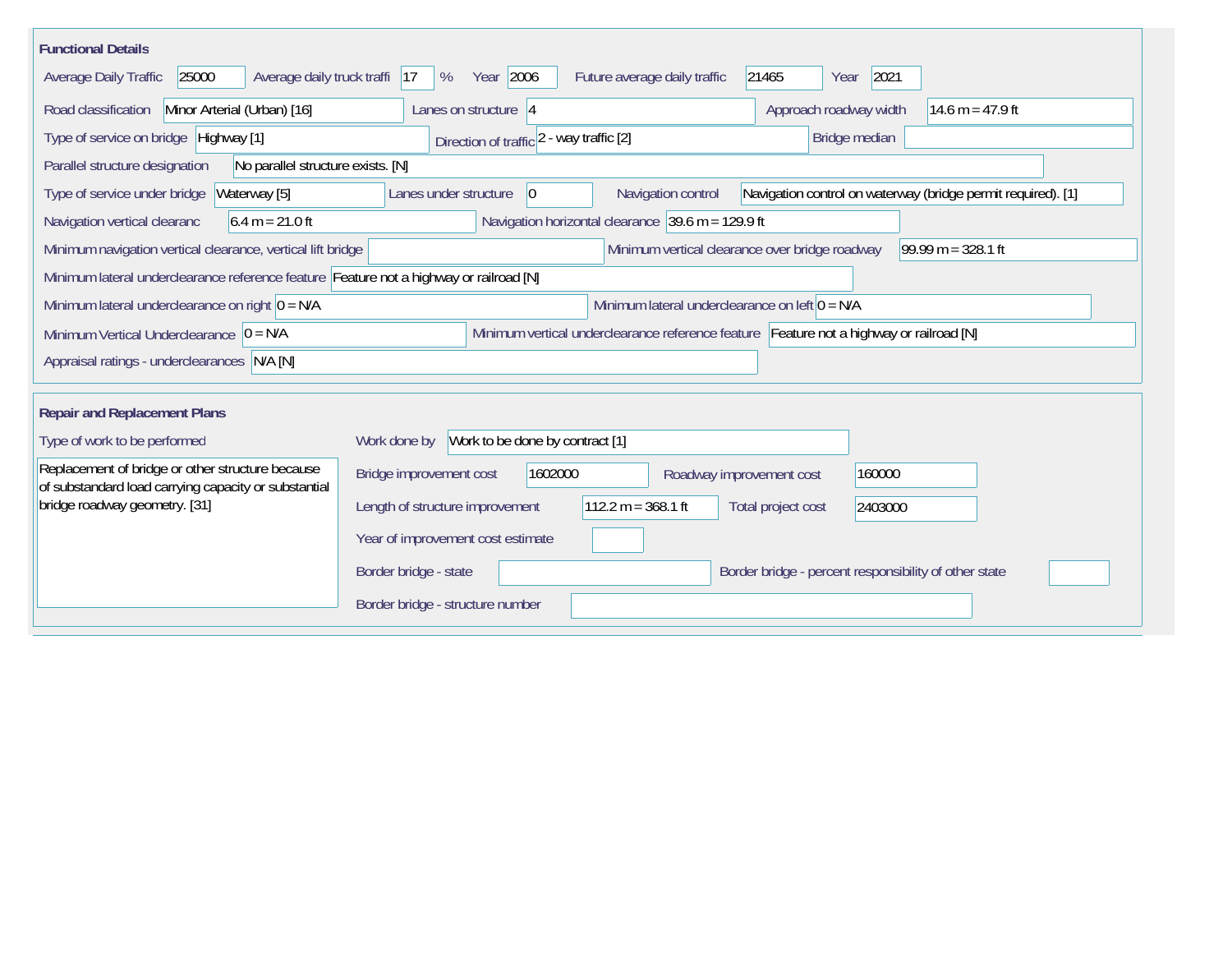| <b>Functional Details</b>                                                                                                             |                                                                                                                               |  |  |  |  |  |  |  |  |
|---------------------------------------------------------------------------------------------------------------------------------------|-------------------------------------------------------------------------------------------------------------------------------|--|--|--|--|--|--|--|--|
| Average daily truck traffi 17<br>25000<br>Average Daily Traffic                                                                       | Year 2006<br>2021<br>Future average daily traffic<br>21465<br>%<br>Year                                                       |  |  |  |  |  |  |  |  |
| Road classification<br>Minor Arterial (Urban) [16]                                                                                    | Approach roadway width<br>Lanes on structure 4<br>14.6 m = 47.9 ft                                                            |  |  |  |  |  |  |  |  |
| Type of service on bridge Highway [1]                                                                                                 | Bridge median<br>Direction of traffic 2 - way traffic [2]                                                                     |  |  |  |  |  |  |  |  |
| Parallel structure designation<br>No parallel structure exists. [N]                                                                   |                                                                                                                               |  |  |  |  |  |  |  |  |
| Waterway [5]<br>Type of service under bridge                                                                                          | Navigation control on waterway (bridge permit required). [1]<br>Navigation control<br>Lanes under structure<br>$\overline{0}$ |  |  |  |  |  |  |  |  |
| Navigation horizontal clearance 39.6 m = 129.9 ft<br>$6.4 m = 21.0 ft$<br>Navigation vertical clearanc                                |                                                                                                                               |  |  |  |  |  |  |  |  |
| Minimum vertical clearance over bridge roadway<br>$99.99 m = 328.1 ft$<br>Minimum navigation vertical clearance, vertical lift bridge |                                                                                                                               |  |  |  |  |  |  |  |  |
| Minimum lateral underclearance reference feature Feature not a highway or railroad [N]                                                |                                                                                                                               |  |  |  |  |  |  |  |  |
| Minimum lateral underclearance on left $0 = N/A$<br>Minimum lateral underclearance on right $0 = N/A$                                 |                                                                                                                               |  |  |  |  |  |  |  |  |
| Minimum vertical underclearance reference feature Feature not a highway or railroad [N]<br>Minimum Vertical Underclearance $ 0 = N/A$ |                                                                                                                               |  |  |  |  |  |  |  |  |
| Appraisal ratings - underclearances N/A [N]                                                                                           |                                                                                                                               |  |  |  |  |  |  |  |  |
|                                                                                                                                       |                                                                                                                               |  |  |  |  |  |  |  |  |
| <b>Repair and Replacement Plans</b>                                                                                                   |                                                                                                                               |  |  |  |  |  |  |  |  |
| Type of work to be performed                                                                                                          | Work to be done by contract [1]<br>Work done by                                                                               |  |  |  |  |  |  |  |  |
| Replacement of bridge or other structure because<br>of substandard load carrying capacity or substantial                              | Bridge improvement cost<br>1602000<br>160000<br>Roadway improvement cost                                                      |  |  |  |  |  |  |  |  |
| bridge roadway geometry. [31]                                                                                                         | $112.2 m = 368.1 ft$<br>Length of structure improvement<br>Total project cost<br>2403000                                      |  |  |  |  |  |  |  |  |
|                                                                                                                                       | Year of improvement cost estimate                                                                                             |  |  |  |  |  |  |  |  |
|                                                                                                                                       | Border bridge - state<br>Border bridge - percent responsibility of other state                                                |  |  |  |  |  |  |  |  |
|                                                                                                                                       | Border bridge - structure number                                                                                              |  |  |  |  |  |  |  |  |